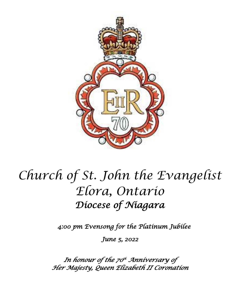

# *Church of St. John the Evangelist Elora, Ontario Diocese of Niagara*

*4:00 pm Evensong for the Platinum Jubilee* 

*June 5, 2022* 

*In honour of the 70 th Anniversary of Her Majesty, Queen Elizabeth II Coronation*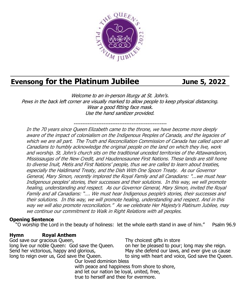

# **Evensong for the Platinum Jubilee June 5, 2022**

Welcome to an in-person liturgy at St. John's. Pews in the back left corner are visually marked to allow people to keep physical distancing. Wear a good fitting face mask. Use the hand sanitizer provided.

-----------------------------------------------------

In the 70 years since Queen Elizabeth came to the throne, we have become more deeply aware of the impact of colonialism on the Indigenous Peoples of Canada, and the legacies of which we are all part. The Truth and Reconciliation Commission of Canada has called upon all Canadians to humbly acknowledge the original people on the land on which they live, work and worship. St. John's church sits on the traditional unceded territories of the Attawandaron, Mississaugas of the New Credit, and Haudenosaunee First Nations. These lands are still home to diverse Inuit, Metis and First Nations' people, thus we are called to learn about treaties, especially the Haldimand Treaty, and the Dish With One Spoon Treaty. As our Governor General, Mary Simon, recently implored the Royal Family and all Canadians: "...we must hear Indigenous peoples' stories, their successes and their solutions. In this way, we will promote healing, understanding and respect. As our Governor General, Mary Simon, invited the Royal Family and all Canadians: "…. We must hear Indigenous people's stories, their successes and their solutions. In this way, we will promote healing, understanding and respect. And in this way we will also promote reconciliation." As we celebrate Her Majesty's Platinum Jubilee, may we continue our commitment to Walk in Right Relations with all peoples.

#### **Opening Sentence**

"O worship the Lord in the beauty of holiness: let the whole earth stand in awe of him." Psalm 96.9

#### **Hymn Royal Anthem**

God save our gracious Queen, long live our noble Queen: God save the Queen. Send her victorious, happy and glorious, long to reign over us, God save the Queen. Our loved dominion bless

Thy choicest gifts in store

on her be pleased to pour; long may she reign. May she defend our laws, and ever give us cause to sing with heart and voice, God save the Queen.

with peace and happiness from shore to shore, and let our nation be loyal, united, free, true to herself and thee for evermore.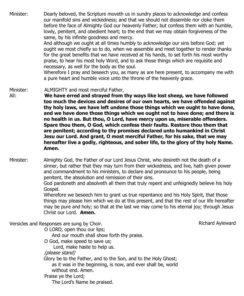Minister: Dearly beloved, the Scripture moveth us in sundry places to acknowledge and confess our manifold sins and wickedness; and that we should not dissemble nor cloke them before the face of Almighty God our heavenly Father; but confess them with an humble, lowly, penitent, and obedient heart; to the end that we may obtain forgiveness of the same, by his infinite goodness and mercy.

And although we ought at all times humbly to acknowledge our sins before God; yet ought we most chiefly so to do, when we assemble and meet together to render thanks for the great benefits that we have received at his hands, to set forth his most worthy praise, to hear his most holy Word, and to ask those things which are requisite and necessary, as well for the body as the soul.

Wherefore I pray and beseech you, as many as are here present, to accompany me with a pure heart and humble voice unto the throne of the heavenly grace.

Minister: ALMIGHTY and most merciful Father,

- All: **We have erred and strayed from thy ways like lost sheep, we have followed too much the devices and desires of our own hearts, we have offended against thy holy laws, we have left undone those things which we ought to have done, and we have done those things which we ought not to have done; and there is no health in us. But thou, O Lord, have mercy upon us, miserable offenders. Spare thou them, O God, which confess their faults. Restore thou them that are penitent; according to thy promises declared unto humankind in Christ Jesu our Lord. And grant, O most merciful Father, for his sake, that we may hereafter live a godly, righteous, and sober life, to the glory of thy holy Name. Amen.**
- Minister: Almighty God, the Father of our Lord Jesus Christ, who desireth not the death of a sinner, but rather that they may turn from their wickedness, and live, hath given power and commandment to his ministers, to declare and pronounce to his people, being penitent, the absolution and remission of their sins.

God pardoneth and absolveth all them that truly repent and unfeignedly believe his holy Gospel.

Wherefore we beseech him to grant us true repentance and his Holy Spirit, that those things may please him which we do at this present, and that the rest of our life hereafter may be pure and holy; so that at the last we may come to his eternal joy; through Jesus Christ our Lord. **Amen.**

Versicles and Responses are sung by Choir.

Richard Ayleward

O LORD, open thou our lips;

And our mouth shall show forth thy praise.

O God, make speed to save us;

Lord, make haste to help us.

(please stand)

Glory be to the Father, and to the Son, and to the Holy Ghost; as it was in the beginning, is now, and ever shall be, world

without end. Amen.

Praise ye the Lord;

The Lord's Name be praised.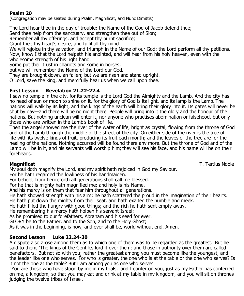#### **Psalm 20**

(Congregation may be seated during Psalm, Magnificat, and Nunc Dimittis)

The Lord hear thee in the day of trouble; the Name of the God of Jacob defend thee;

Send thee help from the sanctuary, and strengthen thee out of Sion;

Remember all thy offerings, and accept thy burnt sacrifice;

Grant thee thy heart's desire, and fulfil all thy mind.

We will rejoice in thy salvation, and triumph in the Name of our God: the Lord perform all thy petitions. Now, know I that the Lord helpeth his anointed, and will hear from his holy heaven, even with the wholesome strength of his right hand.

Some put their trust in chariots and some in horses;

but we will remember the Name of the Lord our God.

They are brought down, an fallen; but we are risen and stand upright.

O Lord, save the king, and mercifully hear us when we call upon thee.

### **First Lesson Revelation 21.22-22.4**

I saw no temple in the city, for its temple is the Lord God the Almighty and the Lamb. And the city has no need of sun or moon to shine on it, for the glory of God is its light, and its lamp is the Lamb. The nations will walk by its light, and the kings of the earth will bring their glory into it. Its gates will never be shut by day—and there will be no night there. People will bring into it the glory and the honour of the nations. But nothing unclean will enter it, nor anyone who practises abomination or falsehood, but only those who are written in the Lamb's book of life.

Then the angel showed me the river of the water of life, bright as crystal, flowing from the throne of God and of the Lamb through the middle of the street of the city. On either side of the river is the tree of life with its twelve kinds of fruit, producing its fruit each month; and the leaves of the tree are for the healing of the nations. Nothing accursed will be found there any more. But the throne of God and of the Lamb will be in it, and his servants will worship him; they will see his face, and his name will be on their foreheads.

**Magnificat** T. Tertius Noble

My soul doth magnify the Lord, and my spirit hath rejoiced in God my Saviour.

For he hath regarded the lowliness of his handmaiden.

For behold, from henceforth all generations shall call me blessed.

For he that is mighty hath magnified me; and holy is his Name.

And his mercy is on them that fear him throughout all generations.

He hath showed strength with his arm; he hath scattered the proud in the imagination of their hearts.

He hath put down the mighty from their seat, and hath exalted the humble and meek.

He hath filled the hungry with good things; and the rich he hath sent empty away.

He remembering his mercy hath holpen his servant Israel;

As he promised to our forefathers, Abraham and his seed for ever.

GLORY be to the Father, and to the Son, and to the Holy Ghost;

As it was in the beginning, is now, and ever shall be, world without end. Amen.

#### **Second Lesson Luke 22.24-30**

A dispute also arose among them as to which one of them was to be regarded as the greatest. But he said to them, 'The kings of the Gentiles lord it over them; and those in authority over them are called benefactors. But not so with you; rather the greatest among you must become like the youngest, and the leader like one who serves. For who is greater, the one who is at the table or the one who serves? Is it not the one at the table? But I am among you as one who serves.

'You are those who have stood by me in my trials; and I confer on you, just as my Father has conferred on me, a kingdom, so that you may eat and drink at my table in my kingdom, and you will sit on thrones judging the twelve tribes of Israel.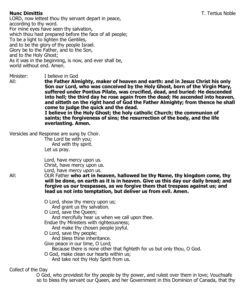LORD, now lettest thou thy servant depart in peace, according to thy word. For mine eyes have seen thy salvation, which thou hast prepared before the face of all people; To be a light to lighten the Gentiles, and to be the glory of thy people Israel. Glory be to the Father, and to the Son, and to the Holy Ghost; As it was in the beginning, is now, and ever shall be, world without end. Amen.

Minister: I believe in God<br>All: **the Father Aln** 

the Father Almighty, maker of heaven and earth: and in Jesus Christ his only  **Son our Lord, who was conceived by the Holy Ghost, born of the Virgin Mary, suffered under Pontius Pilate, was crucified, dead, and buried: He descended into hell; the third day he rose again from the dead; He ascended into heaven, and sitteth on the right hand of God the Father Almighty; from thence he shall come to judge the quick and the dead.**

 **I believe in the Holy Ghost; the holy catholic Church; the communion of saints; the forgiveness of sins; the resurrection of the body, and the life everlasting. Amen.**

Versicles and Response are sung by Choir.

The Lord be with you; And with thy spirit. Let us pray.

Lord, have mercy upon us. Christ, have mercy upon us. Lord, have mercy upon us.

All: OUR Father **who art in heaven, hallowed be thy Name, thy kingdom come, thy will be done, on earth as it is in heaven. Give us this day our daily bread; and forgive us our trespasses, as we forgive them that trespass against us; and lead us not into temptation, but deliver us from evil. Amen.**

O Lord, show thy mercy upon us;

And grant us thy salvation.

O Lord, save the Queen;

And mercifully hear us when we call upon thee.

Endue thy Ministers with righteousness;

And make thy chosen people joyful.

O Lord, save thy people;

And bless thine inheritance.

Give peace in our time, O Lord;

Because there is none other that fighteth for us but only thou, O God.

O God, make clean our hearts within us; And take not thy Holy Spirit from us.

Collect of the Day

O God, who providest for thy people by thy power, and rulest over them in love; Vouchsafe so to bless thy servant our Queen, and her Government in this Dominion of Canada, that thy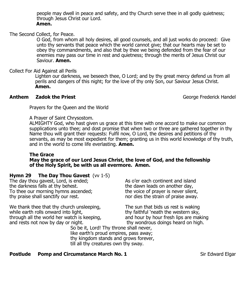people may dwell in peace and safety, and thy Church serve thee in all godly quietness; through Jesus Christ our Lord.  **Amen.**

The Second Collect, for Peace.

 O God, from whom all holy desires, all good counsels, and all just works do proceed: Give unto thy servants that peace which the world cannot give; that our hearts may be set to obey thy commandments, and also that by thee we being defended from the fear of our enemies may pass our time in rest and quietness; through the merits of Jesus Christ our Saviour. **Amen.**

#### Collect For Aid Against all Perils

 Lighten our darkness, we beseech thee, O Lord; and by thy great mercy defend us from all perils and dangers of this night; for the love of thy only Son, our Saviour Jesus Christ. **Amen.**

#### **Anthem Zadok the Priest Community Community Community Community Ceorge Frederick Handel**

Prayers for the Queen and the World

A Prayer of Saint Chrysostom.

ALMIGHTY God, who hast given us grace at this time with one accord to make our common supplications unto thee; and dost promise that when two or three are gathered together in thy Name thou wilt grant their requests: Fulfil now, O Lord, the desires and petitions of thy servants, as may be most expedient for them; granting us in this world knowledge of thy truth, and in the world to come life everlasting. **Amen.**

#### **The Grace May the grace of our Lord Jesus Christ, the love of God, and the fellowship of the Holy Spirit, be with us all evermore. Amen.**

#### **Hymn 29 The Day Thou Gavest** (vv 1-5)

The day thou gavest, Lord, is ended; the darkness falls at thy behest. To thee our morning hymns ascended; thy praise shall sanctify our rest.

We thank thee that thy church unsleeping. while earth rolls onward into light, through all the world her watch is keeping, and rests not now by day or night.

As o'er each continent and island the dawn leads on another day, the voice of prayer is never silent, nor dies the strain of praise away.

The sun that bids us rest is waking thy faithful 'neath the western sky, and hour by hour fresh lips are making thy wondrous doings heard on high.

So be it, Lord! Thy throne shall never, like earth's proud empires, pass away; thy kingdom stands and grows forever, till all thy creatures own thy sway.

#### **Postlude Pomp and Circumstance March No. 1** Sir Edward Elgar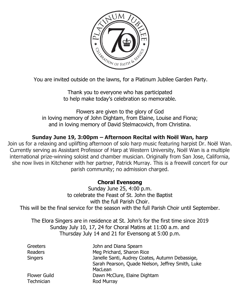

You are invited outside on the lawns, for a Platinum Jubilee Garden Party.

Thank you to everyone who has participated to help make today's celebration so memorable.

Flowers are given to the glory of God in loving memory of John Dightam, from Elaine, Louise and Fiona; and in loving memory of David Stelmacovich, from Christina.

## **Sunday June 19, 3:00pm – Afternoon Recital with Noël Wan, harp**

Join us for a relaxing and uplifting afternoon of solo harp music featuring harpist Dr. Noël Wan. Currently serving as Assistant Professor of Harp at Western University, Noël Wan is a multiple international prize-winning soloist and chamber musician. Originally from San Jose, California, she now lives in Kitchener with her partner, Patrick Murray. This is a freewill concert for our parish community; no admission charged.

### **Choral Evensong**

Sunday June 25, 4:00 p.m. to celebrate the Feast of St. John the Baptist with the full Parish Choir. This will be the final service for the season with the full Parish Choir until September.

The Elora Singers are in residence at St. John's for the first time since 2019 Sunday July 10, 17, 24 for Choral Matins at 11:00 a.m. and Thursday July 14 and 21 for Evensong at 5:00 p.m.

| Greeters            | John and Diana Spearn                             |  |
|---------------------|---------------------------------------------------|--|
| Readers             | Meg Prichard, Sharon Rice                         |  |
| <b>Singers</b>      | Janelle Santi, Audrey Coates, Autumn Debassige,   |  |
|                     | Sarah Pearson, Quade Nielson, Jeffrey Smith, Luke |  |
|                     | MacLean                                           |  |
| <b>Flower Guild</b> | Dawn McClure, Elaine Dightam                      |  |
| Technician          | Rod Murray                                        |  |